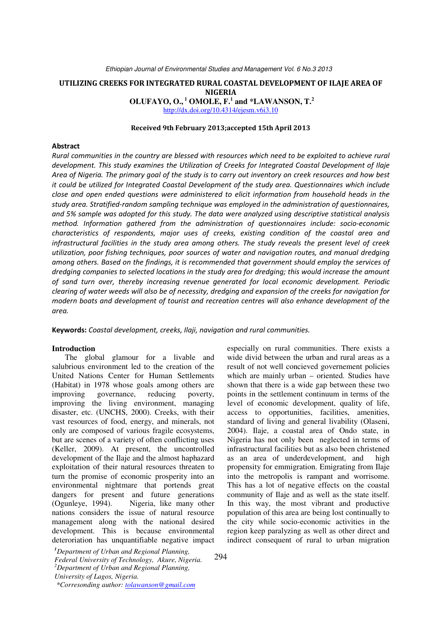# UTILIZING CREEKS FOR INTEGRATED RURAL COASTAL DEVELOPMENT OF ILAJE AREA OF NIGERIA

 **OLUFAYO, O.,<sup>1</sup> OMOLE, F.<sup>1</sup> and \*LAWANSON, T.<sup>2</sup>**

http://dx.doi.org/10.4314/ejesm.v6i3.10

## Received 9th February 2013;accepted 15th April 2013

## Abstract

Rural communities in the country are blessed with resources which need to be exploited to achieve rural development. This study examines the Utilization of Creeks for Integrated Coastal Development of Ilaje Area of Nigeria. The primary goal of the study is to carry out inventory on creek resources and how best it could be utilized for Integrated Coastal Development of the study area. Questionnaires which include close and open ended questions were administered to elicit information from household heads in the study area. Stratified-random sampling technique was employed in the administration of questionnaires, and 5% sample was adopted for this study. The data were analyzed using descriptive statistical analysis method. Information gathered from the administration of questionnaires include: socio-economic characteristics of respondents, major uses of creeks, existing condition of the coastal area and infrastructural facilities in the study area among others. The study reveals the present level of creek utilization, poor fishing techniques, poor sources of water and navigation routes, and manual dredging among others. Based on the findings, it is recommended that government should employ the services of dredging companies to selected locations in the study area for dredging; this would increase the amount of sand turn over, thereby increasing revenue generated for local economic development. Periodic clearing of water weeds will also be of necessity, dredging and expansion of the creeks for navigation for modern boats and development of tourist and recreation centres will also enhance development of the area.

Keywords: Coastal development, creeks, Ilaji, navigation and rural communities.

#### **Introduction**

The global glamour for a livable and salubrious environment led to the creation of the United Nations Center for Human Settlements (Habitat) in 1978 whose goals among others are improving governance, reducing poverty, improving the living environment, managing disaster, etc. (UNCHS, 2000). Creeks, with their vast resources of food, energy, and minerals, not only are composed of various fragile ecosystems, but are scenes of a variety of often conflicting uses (Keller, 2009). At present, the uncontrolled development of the Ilaje and the almost haphazard exploitation of their natural resources threaten to turn the promise of economic prosperity into an environmental nightmare that portends great dangers for present and future generations (Ogunleye, 1994). Nigeria, like many other nations considers the issue of natural resource management along with the national desired development. This is because environmental deteroriation has unquantifiable negative impact

*Federal University of Technology, Akure, Nigeria. <sup>2</sup>Department of Urban and Regional Planning, University of Lagos, Nigeria.* 

*<sup>1</sup>Department of Urban and Regional Planning,* 

especially on rural communities. There exists a wide divid between the urban and rural areas as a result of not well concieved governement policies which are mainly urban – oriented. Studies have shown that there is a wide gap between these two points in the settlement continuum in terms of the level of economic development, quality of life, access to opportunities, facilities, amenities, standard of living and general livability (Olaseni, 2004). Ilaje, a coastal area of Ondo state, in Nigeria has not only been neglected in terms of infrastructural facilities but as also been christened as an area of underdevelopment, and high propensity for emmigration. Emigrating from Ilaje into the metropolis is rampant and worrisome. This has a lot of negative effects on the coastal community of Ilaje and as well as the state itself. In this way, the most vibrant and productive population of this area are being lost continually to the city while socio-economic activities in the region keep paralyzing as well as other direct and indirect consequent of rural to urban migration

 *<sup>\*</sup>Corresonding author: tolawanson@gmail.com*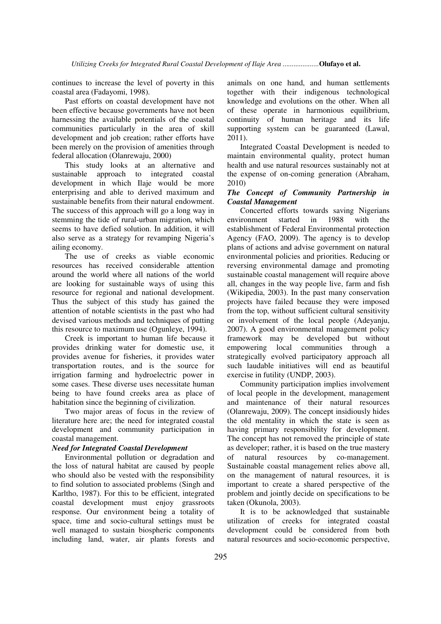continues to increase the level of poverty in this coastal area (Fadayomi, 1998).

Past efforts on coastal development have not been effective because governments have not been harnessing the available potentials of the coastal communities particularly in the area of skill development and job creation; rather efforts have been merely on the provision of amenities through federal allocation (Olanrewaju, 2000)

This study looks at an alternative and sustainable approach to integrated coastal development in which Ilaje would be more enterprising and able to derived maximum and sustainable benefits from their natural endowment. The success of this approach will go a long way in stemming the tide of rural-urban migration, which seems to have defied solution. In addition, it will also serve as a strategy for revamping Nigeria's ailing economy.

The use of creeks as viable economic resources has received considerable attention around the world where all nations of the world are looking for sustainable ways of using this resource for regional and national development. Thus the subject of this study has gained the attention of notable scientists in the past who had devised various methods and techniques of putting this resource to maximum use (Ogunleye, 1994).

Creek is important to human life because it provides drinking water for domestic use, it provides avenue for fisheries, it provides water transportation routes, and is the source for irrigation farming and hydroelectric power in some cases. These diverse uses necessitate human being to have found creeks area as place of habitation since the beginning of civilization.

Two major areas of focus in the review of literature here are; the need for integrated coastal development and community participation in coastal management.

### *Need for Integrated Coastal Development*

Environmental pollution or degradation and the loss of natural habitat are caused by people who should also be vested with the responsibility to find solution to associated problems (Singh and Karltho, 1987). For this to be efficient, integrated coastal development must enjoy grassroots response. Our environment being a totality of space, time and socio-cultural settings must be well managed to sustain biospheric components including land, water, air plants forests and

animals on one hand, and human settlements together with their indigenous technological knowledge and evolutions on the other. When all of these operate in harmonious equilibrium, continuity of human heritage and its life supporting system can be guaranteed (Lawal, 2011).

Integrated Coastal Development is needed to maintain environmental quality, protect human health and use natural resources sustainably not at the expense of on-coming generation (Abraham, 2010)

## *The Concept of Community Partnership in Coastal Management*

Concerted efforts towards saving Nigerians environment started in 1988 with the establishment of Federal Environmental protection Agency (FAO, 2009). The agency is to develop plans of actions and advise government on natural environmental policies and priorities. Reducing or reversing environmental damage and promoting sustainable coastal management will require above all, changes in the way people live, farm and fish (Wikipedia, 2003). In the past many conservation projects have failed because they were imposed from the top, without sufficient cultural sensitivity or involvement of the local people (Adeyanju, 2007). A good environmental management policy framework may be developed but without empowering local communities through a strategically evolved participatory approach all such laudable initiatives will end as beautiful exercise in futility (UNDP, 2003).

Community participation implies involvement of local people in the development, management and maintenance of their natural resources (Olanrewaju, 2009). The concept insidiously hides the old mentality in which the state is seen as having primary responsibility for development. The concept has not removed the principle of state as developer; rather, it is based on the true mastery of natural resources by co-management. Sustainable coastal management relies above all, on the management of natural resources, it is important to create a shared perspective of the problem and jointly decide on specifications to be taken (Okunola, 2003).

It is to be acknowledged that sustainable utilization of creeks for integrated coastal development could be considered from both natural resources and socio-economic perspective,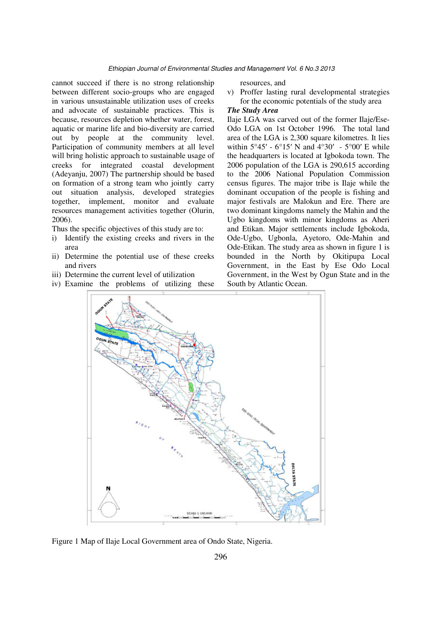cannot succeed if there is no strong relationship between different socio-groups who are engaged in various unsustainable utilization uses of creeks and advocate of sustainable practices. This is because, resources depletion whether water, forest, aquatic or marine life and bio-diversity are carried out by people at the community level. Participation of community members at all level will bring holistic approach to sustainable usage of creeks for integrated coastal development (Adeyanju, 2007) The partnership should be based on formation of a strong team who jointly carry out situation analysis, developed strategies together, implement, monitor and evaluate resources management activities together (Olurin, 2006).

Thus the specific objectives of this study are to:

- i) Identify the existing creeks and rivers in the area
- ii) Determine the potential use of these creeks and rivers
- iii) Determine the current level of utilization
- iv) Examine the problems of utilizing these

resources, and

v) Proffer lasting rural developmental strategies for the economic potentials of the study area

# *The Study Area*

Ilaje LGA was carved out of the former Ilaje/Ese-Odo LGA on 1st October 1996. The total land area of the LGA is 2,300 square kilometres. It lies within  $5^{\circ}45'$  -  $6^{\circ}15'$  N and  $4^{\circ}30'$  -  $5^{\circ}00'$  E while the headquarters is located at Igbokoda town. The 2006 population of the LGA is 290,615 according to the 2006 National Population Commission census figures. The major tribe is Ilaje while the dominant occupation of the people is fishing and major festivals are Malokun and Ere. There are two dominant kingdoms namely the Mahin and the Ugbo kingdoms with minor kingdoms as Aheri and Etikan. Major settlements include Igbokoda, Ode-Ugbo, Ugbonla, Ayetoro, Ode-Mahin and Ode-Etikan. The study area as shown in figure 1 is bounded in the North by Okitipupa Local Government, in the East by Ese Odo Local Government, in the West by Ogun State and in the South by Atlantic Ocean.



Figure 1 Map of Ilaje Local Government area of Ondo State, Nigeria.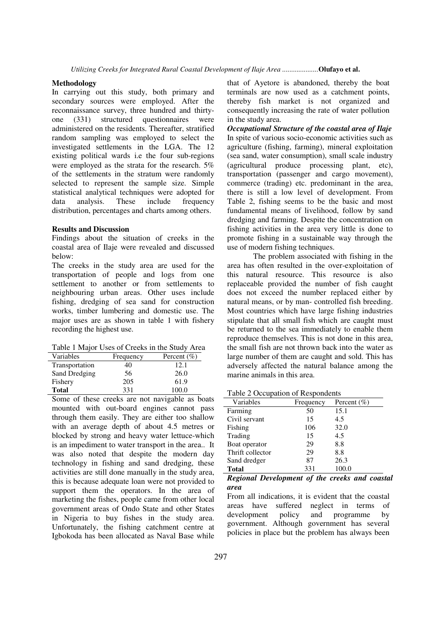### **Methodology**

In carrying out this study, both primary and secondary sources were employed. After the reconnaissance survey, three hundred and thirtyone (331) structured questionnaires were administered on the residents. Thereafter, stratified random sampling was employed to select the investigated settlements in the LGA. The 12 existing political wards i.e the four sub-regions were employed as the strata for the research. 5% of the settlements in the stratum were randomly selected to represent the sample size. Simple statistical analytical techniques were adopted for data analysis. These include frequency data analysis. These include frequency distribution, percentages and charts among others.

### **Results and Discussion**

Findings about the situation of creeks in the coastal area of Ilaje were revealed and discussed below:

The creeks in the study area are used for the transportation of people and logs from one settlement to another or from settlements to neighbouring urban areas. Other uses include fishing, dredging of sea sand for construction works, timber lumbering and domestic use. The major uses are as shown in table 1 with fishery recording the highest use.

Table 1 Major Uses of Creeks in the Study Area

| Frequency | Percent $(\% )$ |
|-----------|-----------------|
| 40        | 12.1            |
| 56        | 26.0            |
| 205       | 61.9            |
| 331       | 100.0           |
|           |                 |

Some of these creeks are not navigable as boats mounted with out-board engines cannot pass through them easily. They are either too shallow with an average depth of about 4.5 metres or blocked by strong and heavy water lettuce-which is an impediment to water transport in the area.. It was also noted that despite the modern day technology in fishing and sand dredging, these activities are still done manually in the study area, this is because adequate loan were not provided to support them the operators. In the area of marketing the fishes, people came from other local government areas of Ondo State and other States in Nigeria to buy fishes in the study area. Unfortunately, the fishing catchment centre at Igbokoda has been allocated as Naval Base while

that of Ayetore is abandoned, thereby the boat terminals are now used as a catchment points, thereby fish market is not organized and consequently increasing the rate of water pollution in the study area.

*Occupational Structure of the coastal area of Ilaje* In spite of various socio-economic activities such as agriculture (fishing, farming), mineral exploitation (sea sand, water consumption), small scale industry (agricultural produce processing plant, etc), transportation (passenger and cargo movement), commerce (trading) etc. predominant in the area, there is still a low level of development. From Table 2, fishing seems to be the basic and most fundamental means of livelihood, follow by sand dredging and farming. Despite the concentration on fishing activities in the area very little is done to promote fishing in a sustainable way through the use of modern fishing techniques.

The problem associated with fishing in the area has often resulted in the over-exploitation of this natural resource. This resource is also replaceable provided the number of fish caught does not exceed the number replaced either by natural means, or by man- controlled fish breeding. Most countries which have large fishing industries stipulate that all small fish which are caught must be returned to the sea immediately to enable them reproduce themselves. This is not done in this area, the small fish are not thrown back into the water as large number of them are caught and sold. This has adversely affected the natural balance among the marine animals in this area.

Table 2 Occupation of Respondents

| Variables        | Frequency | Percent $(\% )$ |
|------------------|-----------|-----------------|
| Farming          | 50        | 15.1            |
| Civil servant    | 15        | 4.5             |
| Fishing          | 106       | 32.0            |
| Trading          | 15        | 4.5             |
| Boat operator    | 29        | 8.8             |
| Thrift collector | 29        | 8.8             |
| Sand dredger     | 87        | 26.3            |
| <b>Total</b>     | 331       | 100.0           |

*Regional Development of the creeks and coastal area* 

From all indications, it is evident that the coastal areas have suffered neglect in terms of development policy and programme by government. Although government has several policies in place but the problem has always been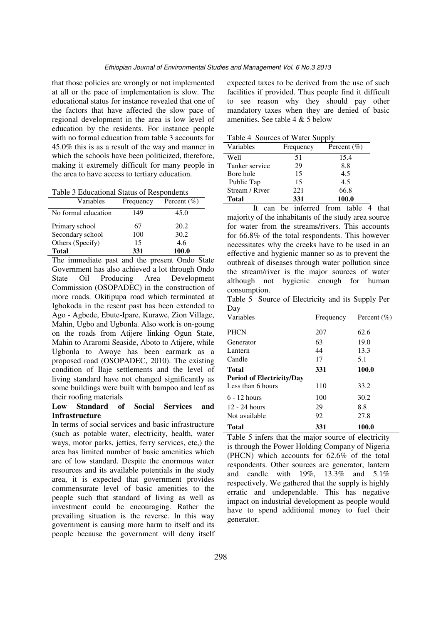that those policies are wrongly or not implemented at all or the pace of implementation is slow. The educational status for instance revealed that one of the factors that have affected the slow pace of regional development in the area is low level of education by the residents. For instance people with no formal education from table 3 accounts for 45.0% this is as a result of the way and manner in which the schools have been politicized, therefore, making it extremely difficult for many people in the area to have access to tertiary education.

| Table 3 Educational Status of Respondents |  |  |
|-------------------------------------------|--|--|
|-------------------------------------------|--|--|

| Variables           | Frequency | Percent $(\% )$ |
|---------------------|-----------|-----------------|
| No formal education | 149       | 45.0            |
| Primary school      | 67        | 20.2            |
| Secondary school    | 100       | 30.2            |
| Others (Specify)    | 15        | 4.6             |
| <b>Total</b>        | 331       | 100.0           |

The immediate past and the present Ondo State Government has also achieved a lot through Ondo<br>State Oil Producing Area Development State Oil Producing Area Development Commission (OSOPADEC) in the construction of more roads. Okitipupa road which terminated at Igbokoda in the resent past has been extended to Ago - Agbede, Ebute-Ipare, Kurawe, Zion Village, Mahin, Ugbo and Ugbonla. Also work is on-goung on the roads from Atijere linking Ogun State, Mahin to Araromi Seaside, Aboto to Atijere, while Ugbonla to Awoye has been earmark as a proposed road (OSOPADEC, 2010). The existing condition of Ilaje settlements and the level of living standard have not changed significantly as some buildings were built with bampoo and leaf as their roofing materials

## **Low Standard of Social Services and Infrastructure**

In terms of social services and basic infrastructure (such as potable water, electricity, health, water ways, motor parks, jetties, ferry services, etc,) the area has limited number of basic amenities which are of low standard. Despite the enormous water resources and its available potentials in the study area, it is expected that government provides commensurate level of basic amenities to the people such that standard of living as well as investment could be encouraging. Rather the prevailing situation is the reverse. In this way government is causing more harm to itself and its people because the government will deny itself expected taxes to be derived from the use of such facilities if provided. Thus people find it difficult to see reason why they should pay other mandatory taxes when they are denied of basic amenities. See table 4 & 5 below

Table 4 Sources of Water Supply

| Variables      | Frequency | Percent $(\% )$ |
|----------------|-----------|-----------------|
| Well           | 51        | 15.4            |
| Tanker service | 29        | 8.8             |
| Bore hole      | 15        | 4.5             |
| Public Tap     | 15        | 4.5             |
| Stream / River | 221       | 66.8            |
| Total          | 331       | 100.0           |

It can be inferred from table 4 that majority of the inhabitants of the study area source for water from the streams/rivers. This accounts for 66.8% of the total respondents. This however necessitates why the creeks have to be used in an effective and hygienic manner so as to prevent the outbreak of diseases through water pollution since the stream/river is the major sources of water although not hygienic enough for human consumption.

Table 5 Source of Electricity and its Supply Per Day

| Variables                        | Frequency | Percent $(\% )$ |
|----------------------------------|-----------|-----------------|
| <b>PHCN</b>                      | 207       | 62.6            |
| Generator                        | 63        | 19.0            |
| Lantern                          | 44        | 13.3            |
| Candle                           | 17        | 5.1             |
| Total                            | 331       | 100.0           |
| <b>Period of Electricity/Day</b> |           |                 |
| Less than 6 hours                | 110       | 33.2            |
| $6 - 12$ hours                   | 100       | 30.2            |
| $12 - 24$ hours                  | 29        | 8.8             |
| Not available                    | 92        | 27.8            |
| <b>Total</b>                     | 331       | 100.0           |

Table 5 infers that the major source of electricity is through the Power Holding Company of Nigeria (PHCN) which accounts for 62.6% of the total respondents. Other sources are generator, lantern and candle with 19%, 13.3% and 5.1% respectively. We gathered that the supply is highly erratic and undependable. This has negative impact on industrial development as people would have to spend additional money to fuel their generator.